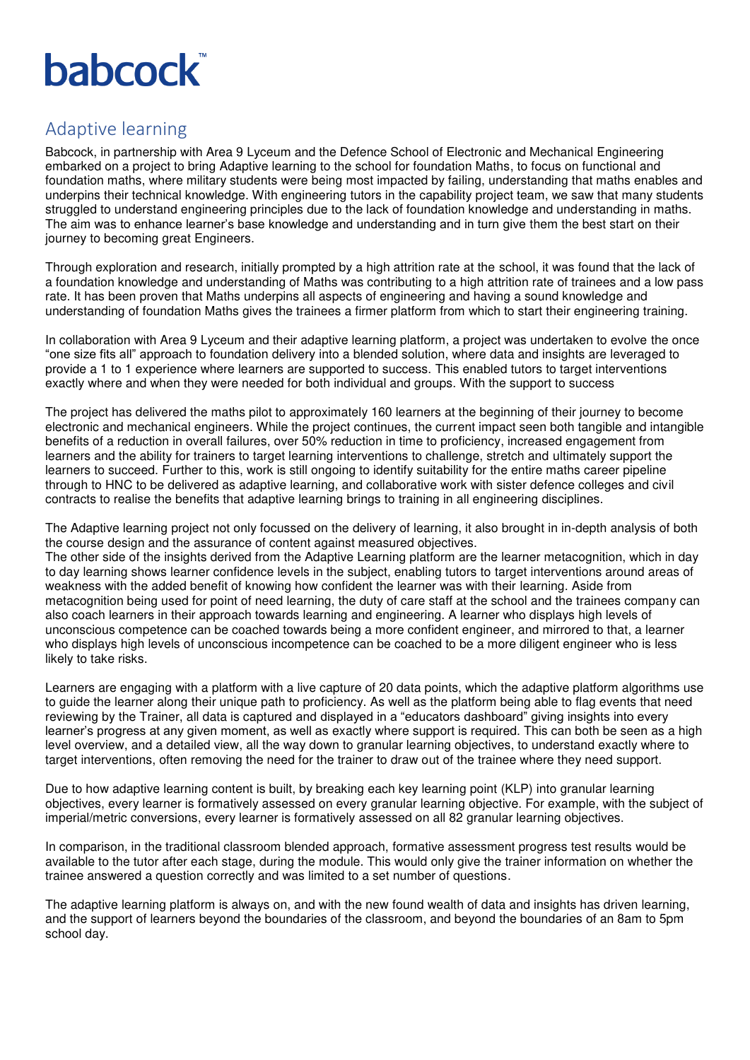## **babcock**

## Adaptive learning

Babcock, in partnership with Area 9 Lyceum and the Defence School of Electronic and Mechanical Engineering embarked on a project to bring Adaptive learning to the school for foundation Maths, to focus on functional and foundation maths, where military students were being most impacted by failing, understanding that maths enables and underpins their technical knowledge. With engineering tutors in the capability project team, we saw that many students struggled to understand engineering principles due to the lack of foundation knowledge and understanding in maths. The aim was to enhance learner's base knowledge and understanding and in turn give them the best start on their journey to becoming great Engineers.

Through exploration and research, initially prompted by a high attrition rate at the school, it was found that the lack of a foundation knowledge and understanding of Maths was contributing to a high attrition rate of trainees and a low pass rate. It has been proven that Maths underpins all aspects of engineering and having a sound knowledge and understanding of foundation Maths gives the trainees a firmer platform from which to start their engineering training.

In collaboration with Area 9 Lyceum and their adaptive learning platform, a project was undertaken to evolve the once "one size fits all" approach to foundation delivery into a blended solution, where data and insights are leveraged to provide a 1 to 1 experience where learners are supported to success. This enabled tutors to target interventions exactly where and when they were needed for both individual and groups. With the support to success

The project has delivered the maths pilot to approximately 160 learners at the beginning of their journey to become electronic and mechanical engineers. While the project continues, the current impact seen both tangible and intangible benefits of a reduction in overall failures, over 50% reduction in time to proficiency, increased engagement from learners and the ability for trainers to target learning interventions to challenge, stretch and ultimately support the learners to succeed. Further to this, work is still ongoing to identify suitability for the entire maths career pipeline through to HNC to be delivered as adaptive learning, and collaborative work with sister defence colleges and civil contracts to realise the benefits that adaptive learning brings to training in all engineering disciplines.

The Adaptive learning project not only focussed on the delivery of learning, it also brought in in-depth analysis of both the course design and the assurance of content against measured objectives.

The other side of the insights derived from the Adaptive Learning platform are the learner metacognition, which in day to day learning shows learner confidence levels in the subject, enabling tutors to target interventions around areas of weakness with the added benefit of knowing how confident the learner was with their learning. Aside from metacognition being used for point of need learning, the duty of care staff at the school and the trainees company can also coach learners in their approach towards learning and engineering. A learner who displays high levels of unconscious competence can be coached towards being a more confident engineer, and mirrored to that, a learner who displays high levels of unconscious incompetence can be coached to be a more diligent engineer who is less likely to take risks.

Learners are engaging with a platform with a live capture of 20 data points, which the adaptive platform algorithms use to guide the learner along their unique path to proficiency. As well as the platform being able to flag events that need reviewing by the Trainer, all data is captured and displayed in a "educators dashboard" giving insights into every learner's progress at any given moment, as well as exactly where support is required. This can both be seen as a high level overview, and a detailed view, all the way down to granular learning objectives, to understand exactly where to target interventions, often removing the need for the trainer to draw out of the trainee where they need support.

Due to how adaptive learning content is built, by breaking each key learning point (KLP) into granular learning objectives, every learner is formatively assessed on every granular learning objective. For example, with the subject of imperial/metric conversions, every learner is formatively assessed on all 82 granular learning objectives.

In comparison, in the traditional classroom blended approach, formative assessment progress test results would be available to the tutor after each stage, during the module. This would only give the trainer information on whether the trainee answered a question correctly and was limited to a set number of questions.

The adaptive learning platform is always on, and with the new found wealth of data and insights has driven learning, and the support of learners beyond the boundaries of the classroom, and beyond the boundaries of an 8am to 5pm school day.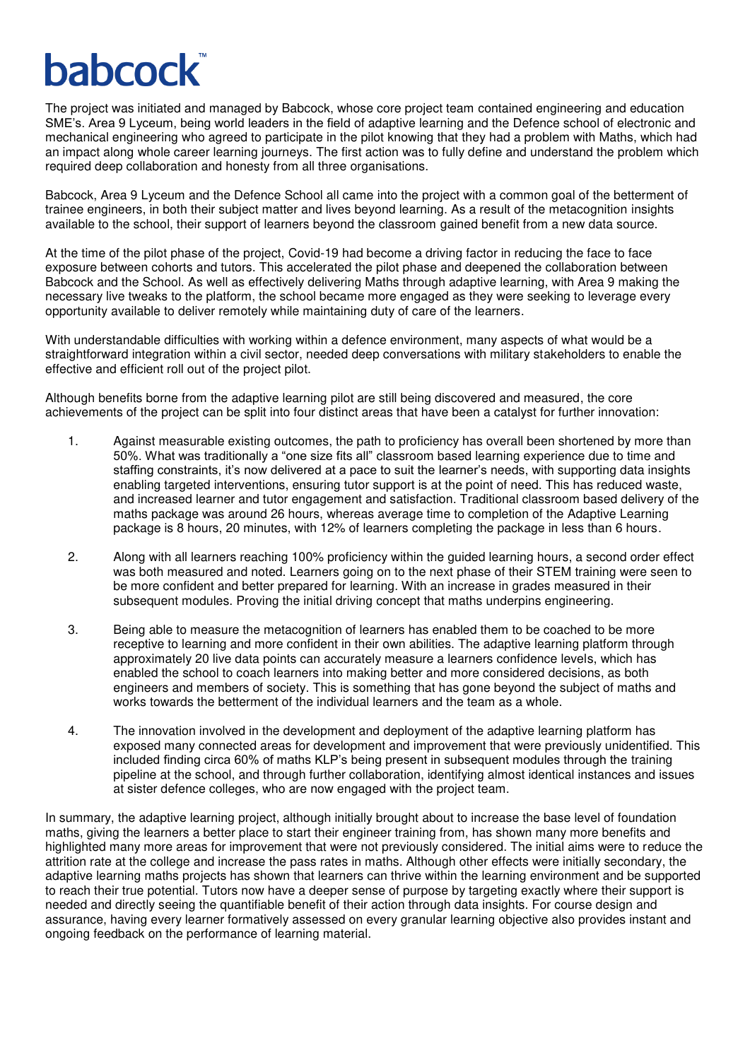## **babcocl**

The project was initiated and managed by Babcock, whose core project team contained engineering and education SME's. Area 9 Lyceum, being world leaders in the field of adaptive learning and the Defence school of electronic and mechanical engineering who agreed to participate in the pilot knowing that they had a problem with Maths, which had an impact along whole career learning journeys. The first action was to fully define and understand the problem which required deep collaboration and honesty from all three organisations.

Babcock, Area 9 Lyceum and the Defence School all came into the project with a common goal of the betterment of trainee engineers, in both their subject matter and lives beyond learning. As a result of the metacognition insights available to the school, their support of learners beyond the classroom gained benefit from a new data source.

At the time of the pilot phase of the project, Covid-19 had become a driving factor in reducing the face to face exposure between cohorts and tutors. This accelerated the pilot phase and deepened the collaboration between Babcock and the School. As well as effectively delivering Maths through adaptive learning, with Area 9 making the necessary live tweaks to the platform, the school became more engaged as they were seeking to leverage every opportunity available to deliver remotely while maintaining duty of care of the learners.

With understandable difficulties with working within a defence environment, many aspects of what would be a straightforward integration within a civil sector, needed deep conversations with military stakeholders to enable the effective and efficient roll out of the project pilot.

Although benefits borne from the adaptive learning pilot are still being discovered and measured, the core achievements of the project can be split into four distinct areas that have been a catalyst for further innovation:

- 1. Against measurable existing outcomes, the path to proficiency has overall been shortened by more than 50%. What was traditionally a "one size fits all" classroom based learning experience due to time and staffing constraints, it's now delivered at a pace to suit the learner's needs, with supporting data insights enabling targeted interventions, ensuring tutor support is at the point of need. This has reduced waste, and increased learner and tutor engagement and satisfaction. Traditional classroom based delivery of the maths package was around 26 hours, whereas average time to completion of the Adaptive Learning package is 8 hours, 20 minutes, with 12% of learners completing the package in less than 6 hours.
- 2. Along with all learners reaching 100% proficiency within the guided learning hours, a second order effect was both measured and noted. Learners going on to the next phase of their STEM training were seen to be more confident and better prepared for learning. With an increase in grades measured in their subsequent modules. Proving the initial driving concept that maths underpins engineering.
- 3. Being able to measure the metacognition of learners has enabled them to be coached to be more receptive to learning and more confident in their own abilities. The adaptive learning platform through approximately 20 live data points can accurately measure a learners confidence levels, which has enabled the school to coach learners into making better and more considered decisions, as both engineers and members of society. This is something that has gone beyond the subject of maths and works towards the betterment of the individual learners and the team as a whole.
- 4. The innovation involved in the development and deployment of the adaptive learning platform has exposed many connected areas for development and improvement that were previously unidentified. This included finding circa 60% of maths KLP's being present in subsequent modules through the training pipeline at the school, and through further collaboration, identifying almost identical instances and issues at sister defence colleges, who are now engaged with the project team.

In summary, the adaptive learning project, although initially brought about to increase the base level of foundation maths, giving the learners a better place to start their engineer training from, has shown many more benefits and highlighted many more areas for improvement that were not previously considered. The initial aims were to reduce the attrition rate at the college and increase the pass rates in maths. Although other effects were initially secondary, the adaptive learning maths projects has shown that learners can thrive within the learning environment and be supported to reach their true potential. Tutors now have a deeper sense of purpose by targeting exactly where their support is needed and directly seeing the quantifiable benefit of their action through data insights. For course design and assurance, having every learner formatively assessed on every granular learning objective also provides instant and ongoing feedback on the performance of learning material.